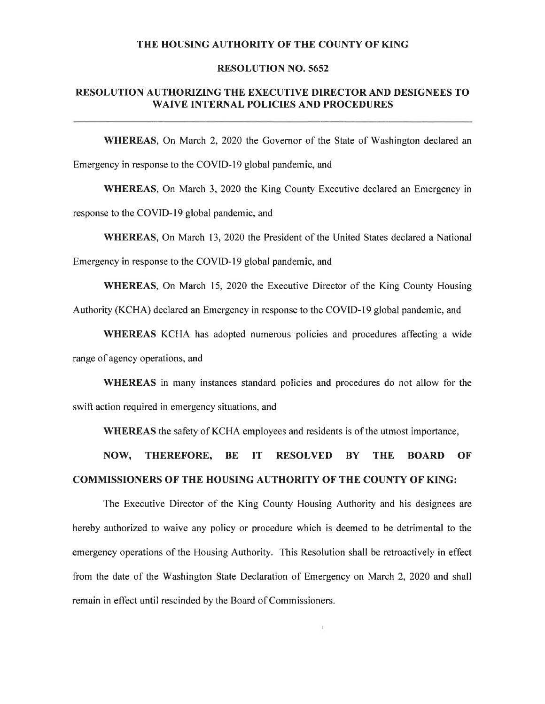### THE HOUSING AUTHORITY OF THE COUNTY OF KING

#### **RESOLUTION NO. 5652**

### RESOLUTION AUTHORIZING THE EXECUTIVE DIRECTOR AND DESIGNEES TO **WAIVE INTERNAL POLICIES AND PROCEDURES**

**WHEREAS,** On March 2, 2020 the Governor of the State of Washington declared an Emergency in response to the COVID-19 global pandemic, and

**WHEREAS,** On March 3, 2020 the King County Executive declared an Emergency in response to the COVID-19 global pandemic, and

**WHEREAS.** On March 13, 2020 the President of the United States declared a National

Emergency in response to the COVID-19 global pandemic, and

**WHEREAS, On March 15, 2020 the Executive Director of the King County Housing** 

Authority (KCHA) declared an Emergency in response to the COVID-19 global pandemic, and

WHEREAS KCHA has adopted numerous policies and procedures affecting a wide range of agency operations, and

**WHEREAS** in many instances standard policies and procedures do not allow for the swift action required in emergency situations, and

WHEREAS the safety of KCHA employees and residents is of the utmost importance,

THEREFORE, NOW, **BE** IT **RESOLVED BY THE BOARD** OF **COMMISSIONERS OF THE HOUSING AUTHORITY OF THE COUNTY OF KING:** 

The Executive Director of the King County Housing Authority and his designees are hereby authorized to waive any policy or procedure which is deemed to be detrimental to the emergency operations of the Housing Authority. This Resolution shall be retroactively in effect from the date of the Washington State Declaration of Emergency on March 2, 2020 and shall remain in effect until rescinded by the Board of Commissioners.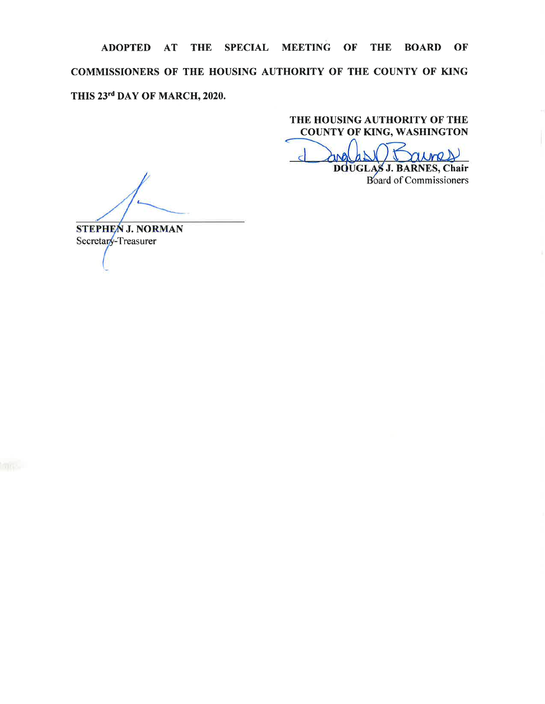ADOPTED AT THE SPECIAL MEETING OF THE BOARD OF COMMISSIONERS OF THE HOUSING AUTHORITY OF THE COUNTY OF KING THIS 23rd DAY OF MARCH, 2020.

THE HOUSING AUTHORITY OF THE **COUNTY OF KING, WASHINGTON** 

mo DOUGLAS J. BARNES, Chair

**Board of Commissioners** 

**STEPHEN J. NORMAN** Secretary-Treasurer